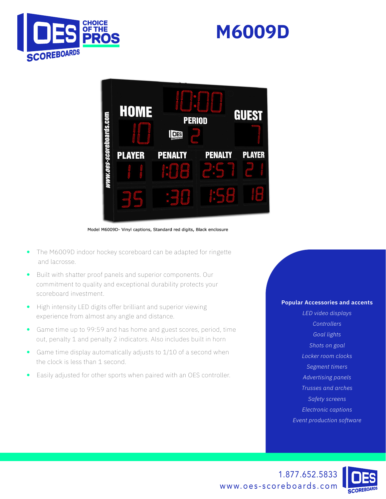

# **M6009D**



Model M6009D- Vinyl captions, Standard red digits, Black enclosure

- The M6009D indoor hockey scoreboard can be adapted for ringette and lacrosse.
- Built with shatter proof panels and superior components. Our commitment to quality and exceptional durability protects your scoreboard investment.
- High intensity LED digits offer brilliant and superior viewing experience from almost any angle and distance.
- Game time up to 99:59 and has home and guest scores, period, time out, penalty 1 and penalty 2 indicators. Also includes built in horn
- Game time display automatically adjusts to 1/10 of a second when the clock is less than 1 second.
- Easily adjusted for other sports when paired with an OES controller.

#### **Popular Accessories and accents**

*LED video displays Controllers Goal lights Shots on goal Locker room clocks Segment timers Advertising panels Trusses and arches Safety screens Electronic captions Event production software*